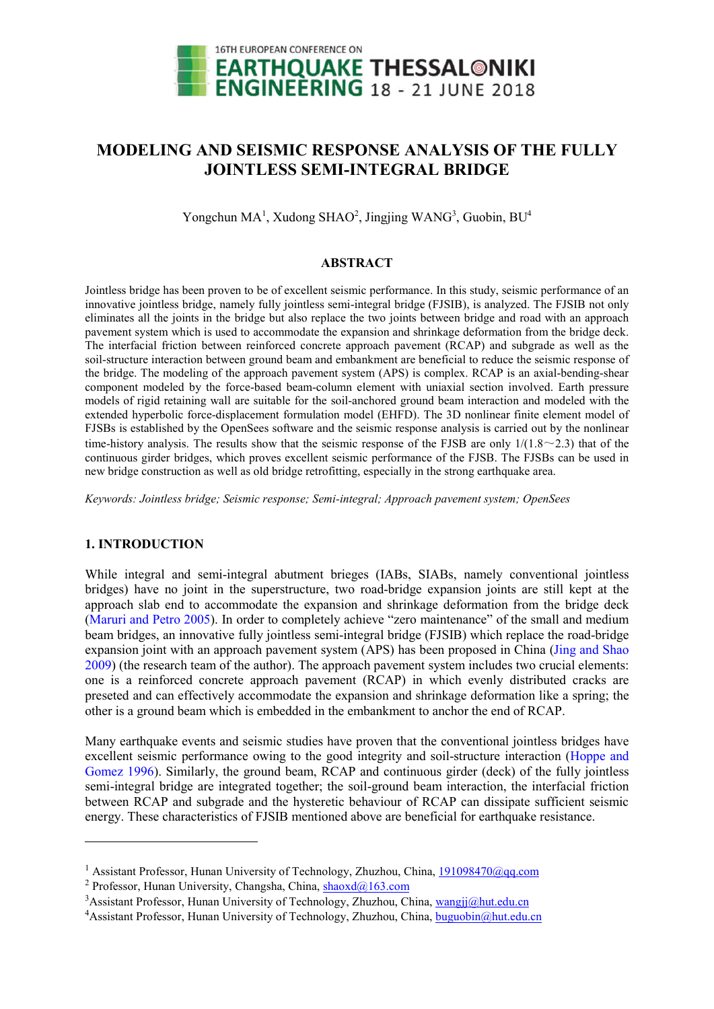

# **MODELING AND SEISMIC RESPONSE ANALYSIS OF THE FULLY JOINTLESS SEMI-INTEGRAL BRIDGE**

Yongchun MA<sup>1</sup>, Xudong SHAO<sup>2</sup>, Jingjing WANG<sup>3</sup>, Guobin, BU<sup>4</sup>

## **ABSTRACT**

Jointless bridge has been proven to be of excellent seismic performance. In this study, seismic performance of an innovative jointless bridge, namely fully jointless semi-integral bridge (FJSIB), is analyzed. The FJSIB not only eliminates all the joints in the bridge but also replace the two joints between bridge and road with an approach pavement system which is used to accommodate the expansion and shrinkage deformation from the bridge deck. The interfacial friction between reinforced concrete approach pavement (RCAP) and subgrade as well as the soil-structure interaction between ground beam and embankment are beneficial to reduce the seismic response of the bridge. The modeling of the approach pavement system (APS) is complex. RCAP is an axial-bending-shear component modeled by the force-based beam-column element with uniaxial section involved. Earth pressure models of rigid retaining wall are suitable for the soil-anchored ground beam interaction and modeled with the extended hyperbolic force-displacement formulation model (EHFD). The 3D nonlinear finite element model of FJSBs is established by the OpenSees software and the seismic response analysis is carried out by the nonlinear time-history analysis. The results show that the seismic response of the FJSB are only  $1/(1.8 \sim 2.3)$  that of the continuous girder bridges, which proves excellent seismic performance of the FJSB. The FJSBs can be used in new bridge construction as well as old bridge retrofitting, especially in the strong earthquake area.

*Keywords: Jointless bridge; Seismic response; Semi-integral; Approach pavement system; OpenSees*

## **1. INTRODUCTION**

-

While integral and semi-integral abutment brieges (IABs, SIABs, namely conventional jointless bridges) have no joint in the superstructure, two road-bridge expansion joints are still kept at the approach slab end to accommodate the expansion and shrinkage deformation from the bridge deck (Maruri and Petro 2005). In order to completely achieve "zero maintenance" of the small and medium beam bridges, an innovative fully jointless semi-integral bridge (FJSIB) which replace the road-bridge expansion joint with an approach pavement system (APS) has been proposed in China (Jing and Shao 2009) (the research team of the author). The approach pavement system includes two crucial elements: one is a reinforced concrete approach pavement (RCAP) in which evenly distributed cracks are preseted and can effectively accommodate the expansion and shrinkage deformation like a spring; the other is a ground beam which is embedded in the embankment to anchor the end of RCAP.

Many earthquake events and seismic studies have proven that the conventional jointless bridges have excellent seismic performance owing to the good integrity and soil-structure interaction (Hoppe and Gomez 1996). Similarly, the ground beam, RCAP and continuous girder (deck) of the fully jointless semi-integral bridge are integrated together; the soil-ground beam interaction, the interfacial friction between RCAP and subgrade and the hysteretic behaviour of RCAP can dissipate sufficient seismic energy. These characteristics of FJSIB mentioned above are beneficial for earthquake resistance.

<sup>&</sup>lt;sup>1</sup> Assistant Professor, Hunan University of Technology, Zhuzhou, China, 191098470@qq.com

<sup>&</sup>lt;sup>2</sup> Professor, Hunan University, Changsha, China, shaoxd $\omega$ 163.com

<sup>&</sup>lt;sup>3</sup> Assistant Professor, Hunan University of Technology, Zhuzhou, China, wangjj@hut.edu.cn

<sup>&</sup>lt;sup>4</sup> Assistant Professor, Hunan University of Technology, Zhuzhou, China, buguobin@hut.edu.cn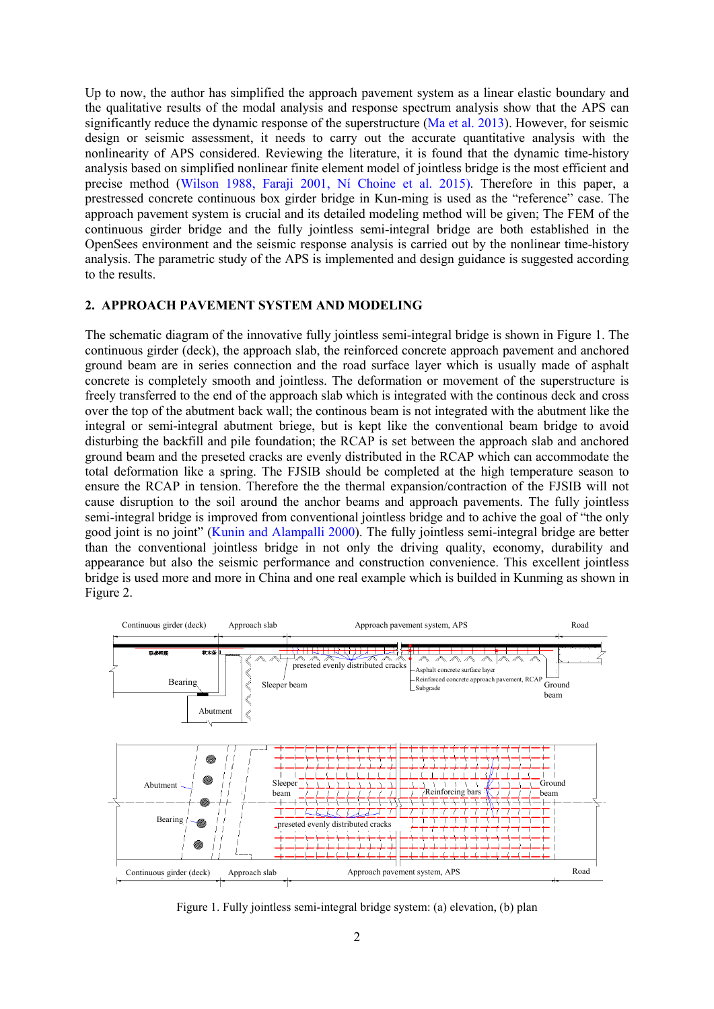Up to now, the author has simplified the approach pavement system as a linear elastic boundary and the qualitative results of the modal analysis and response spectrum analysis show that the APS can significantly reduce the dynamic response of the superstructure (Ma et al. 2013). However, for seismic design or seismic assessment, it needs to carry out the accurate quantitative analysis with the nonlinearity of APS considered. Reviewing the literature, it is found that the dynamic time-history analysis based on simplified nonlinear finite element model of jointless bridge is the most efficient and precise method (Wilson 1988, Faraji 2001, Ní Choine et al. 2015). Therefore in this paper, a prestressed concrete continuous box girder bridge in Kun-ming is used as the "reference" case. The approach pavement system is crucial and its detailed modeling method will be given; The FEM of the continuous girder bridge and the fully jointless semi-integral bridge are both established in the OpenSees environment and the seismic response analysis is carried out by the nonlinear time-history analysis. The parametric study of the APS is implemented and design guidance is suggested according to the results.

#### **2. APPROACH PAVEMENT SYSTEM AND MODELING**

The schematic diagram of the innovative fully jointless semi-integral bridge is shown in Figure 1. The continuous girder (deck), the approach slab, the reinforced concrete approach pavement and anchored ground beam are in series connection and the road surface layer which is usually made of asphalt concrete is completely smooth and jointless. The deformation or movement of the superstructure is freely transferred to the end of the approach slab which is integrated with the continous deck and cross over the top of the abutment back wall; the continous beam is not integrated with the abutment like the integral or semi-integral abutment briege, but is kept like the conventional beam bridge to avoid disturbing the backfill and pile foundation; the RCAP is set between the approach slab and anchored ground beam and the preseted cracks are evenly distributed in the RCAP which can accommodate the total deformation like a spring. The FJSIB should be completed at the high temperature season to ensure the RCAP in tension. Therefore the the thermal expansion/contraction of the FJSIB will not cause disruption to the soil around the anchor beams and approach pavements. The fully jointless semi-integral bridge is improved from conventional jointless bridge and to achive the goal of "the only good joint is no joint" (Kunin and Alampalli 2000). The fully jointless semi-integral bridge are better than the conventional jointless bridge in not only the driving quality, economy, durability and appearance but also the seismic performance and construction convenience. This excellent jointless bridge is used more and more in China and one real example which is builded in Kunming as shown in Figure 2.



Figure 1. Fully jointless semi-integral bridge system: (a) elevation, (b) plan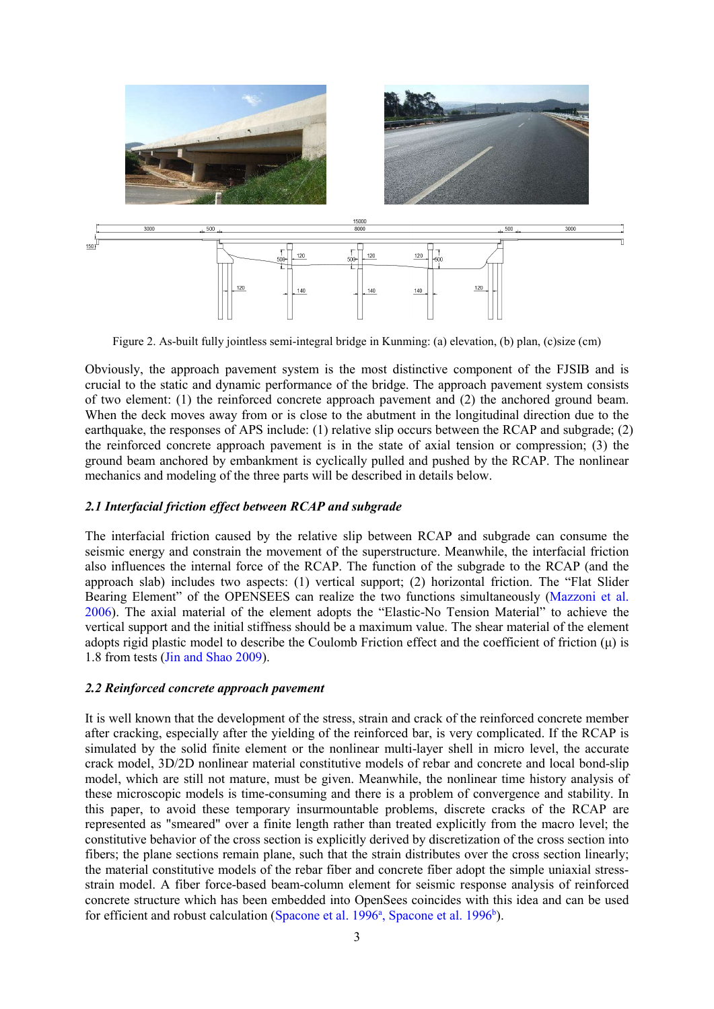

Figure 2. As-built fully jointless semi-integral bridge in Kunming: (a) elevation, (b) plan, (c)size (cm)

Obviously, the approach pavement system is the most distinctive component of the FJSIB and is crucial to the static and dynamic performance of the bridge. The approach pavement system consists of two element: (1) the reinforced concrete approach pavement and (2) the anchored ground beam. When the deck moves away from or is close to the abutment in the longitudinal direction due to the earthquake, the responses of APS include: (1) relative slip occurs between the RCAP and subgrade; (2) the reinforced concrete approach pavement is in the state of axial tension or compression; (3) the ground beam anchored by embankment is cyclically pulled and pushed by the RCAP. The nonlinear mechanics and modeling of the three parts will be described in details below.

## *2.1 Interfacial friction effect between RCAP and subgrade*

The interfacial friction caused by the relative slip between RCAP and subgrade can consume the seismic energy and constrain the movement of the superstructure. Meanwhile, the interfacial friction also influences the internal force of the RCAP. The function of the subgrade to the RCAP (and the approach slab) includes two aspects: (1) vertical support; (2) horizontal friction. The "Flat Slider Bearing Element" of the OPENSEES can realize the two functions simultaneously (Mazzoni et al. 2006). The axial material of the element adopts the "Elastic-No Tension Material" to achieve the vertical support and the initial stiffness should be a maximum value. The shear material of the element adopts rigid plastic model to describe the Coulomb Friction effect and the coefficient of friction  $(\mu)$  is 1.8 from tests (Jin and Shao 2009).

#### *2.2 Reinforced concrete approach pavement*

It is well known that the development of the stress, strain and crack of the reinforced concrete member after cracking, especially after the yielding of the reinforced bar, is very complicated. If the RCAP is simulated by the solid finite element or the nonlinear multi-layer shell in micro level, the accurate crack model, 3D/2D nonlinear material constitutive models of rebar and concrete and local bond-slip model, which are still not mature, must be given. Meanwhile, the nonlinear time history analysis of these microscopic models is time-consuming and there is a problem of convergence and stability. In this paper, to avoid these temporary insurmountable problems, discrete cracks of the RCAP are represented as "smeared" over a finite length rather than treated explicitly from the macro level; the constitutive behavior of the cross section is explicitly derived by discretization of the cross section into fibers; the plane sections remain plane, such that the strain distributes over the cross section linearly; the material constitutive models of the rebar fiber and concrete fiber adopt the simple uniaxial stressstrain model. A fiber force-based beam-column element for seismic response analysis of reinforced concrete structure which has been embedded into OpenSees coincides with this idea and can be used for efficient and robust calculation (Spacone et al. 1996<sup>a</sup>, Spacone et al. 1996<sup>b</sup>).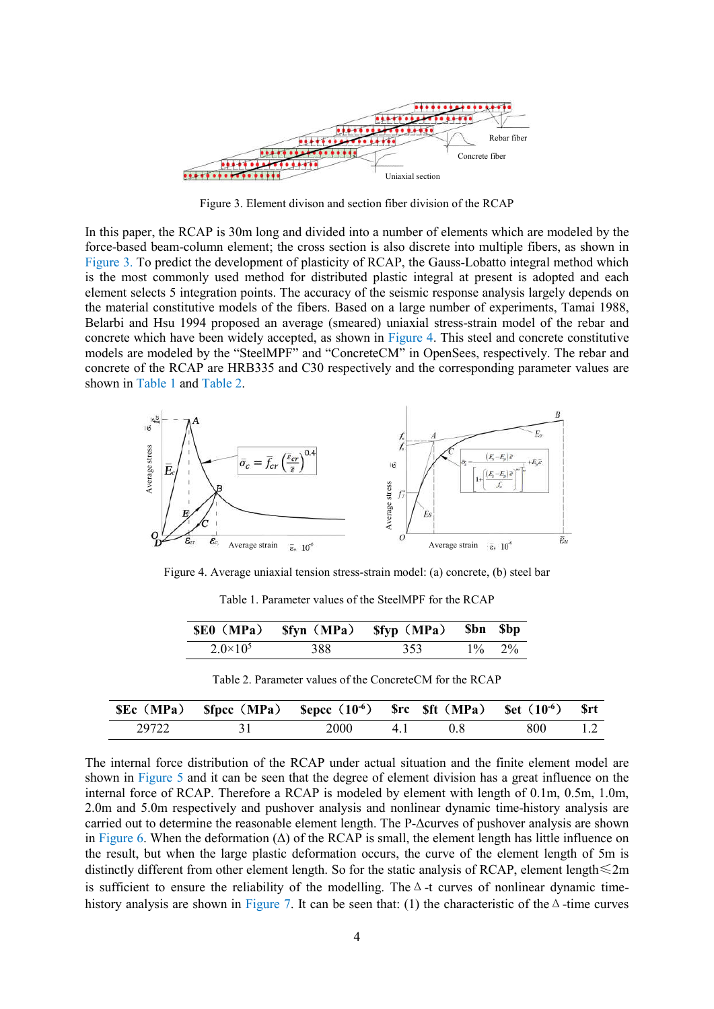

Figure 3. Element divison and section fiber division of the RCAP

In this paper, the RCAP is 30m long and divided into a number of elements which are modeled by the force-based beam-column element; the cross section is also discrete into multiple fibers, as shown in Figure 3. To predict the development of plasticity of RCAP, the Gauss-Lobatto integral method which is the most commonly used method for distributed plastic integral at present is adopted and each element selects 5 integration points. The accuracy of the seismic response analysis largely depends on the material constitutive models of the fibers. Based on a large number of experiments, Tamai 1988, Belarbi and Hsu 1994 proposed an average (smeared) uniaxial stress-strain model of the rebar and concrete which have been widely accepted, as shown in Figure 4. This steel and concrete constitutive models are modeled by the "SteelMPF" and "ConcreteCM" in OpenSees, respectively. The rebar and concrete of the RCAP are HRB335 and C30 respectively and the corresponding parameter values are shown in Table 1 and Table 2.



Figure 4. Average uniaxial tension stress-strain model: (a) concrete, (b) steel bar

Table 1. Parameter values of the SteelMPF for the RCAP

|                   | \$E0 (MPa) \$fyn (MPa) \$fyp (MPa) \$bn \$bp |     |           |
|-------------------|----------------------------------------------|-----|-----------|
| $2.0 \times 10^5$ | 388                                          | 353 | $1\%$ 2\% |

|       | SEc (MPa) Sfpcc (MPa) Sepcc $(10^{-6})$ Src Sft (MPa) Set $(10^{-6})$ Srt |      |    |      |      |     |
|-------|---------------------------------------------------------------------------|------|----|------|------|-----|
| 29722 |                                                                           | 2000 | 41 | -0.8 | -800 | 1.2 |

The internal force distribution of the RCAP under actual situation and the finite element model are shown in Figure 5 and it can be seen that the degree of element division has a great influence on the internal force of RCAP. Therefore a RCAP is modeled by element with length of 0.1m, 0.5m, 1.0m, 2.0m and 5.0m respectively and pushover analysis and nonlinear dynamic time-history analysis are carried out to determine the reasonable element length. The P-Δcurves of pushover analysis are shown in Figure 6. When the deformation  $(\Delta)$  of the RCAP is small, the element length has little influence on the result, but when the large plastic deformation occurs, the curve of the element length of 5m is distinctly different from other element length. So for the static analysis of RCAP, element length≤2m is sufficient to ensure the reliability of the modelling. The  $\Delta$ -t curves of nonlinear dynamic timehistory analysis are shown in Figure 7. It can be seen that: (1) the characteristic of the  $\Delta$ -time curves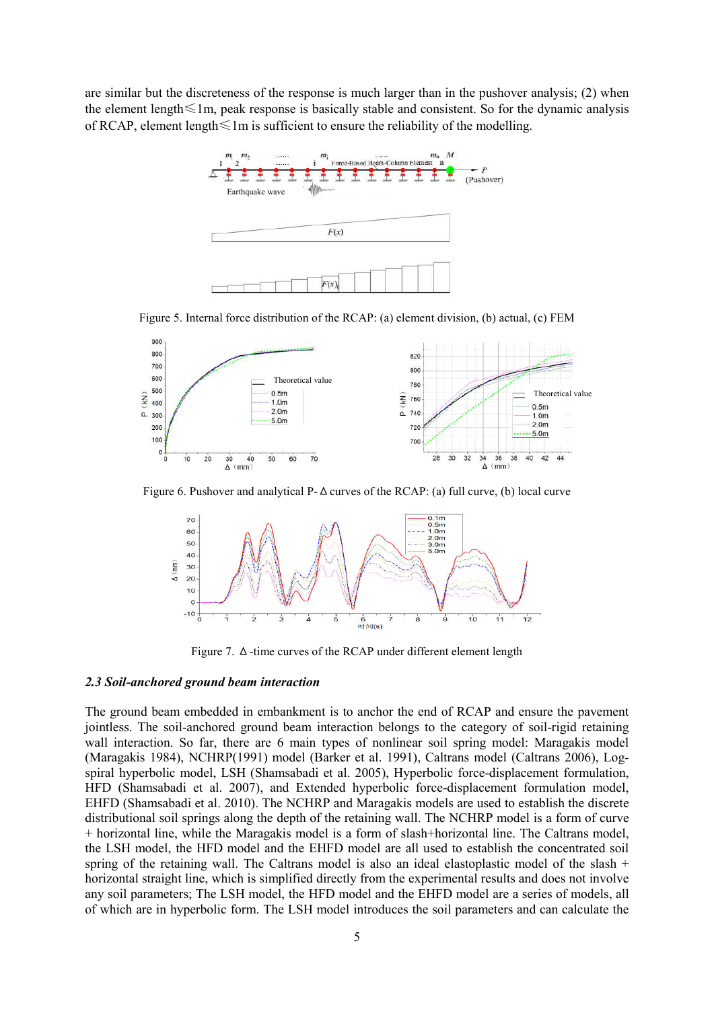are similar but the discreteness of the response is much larger than in the pushover analysis; (2) when the element length≤1m, peak response is basically stable and consistent. So for the dynamic analysis of RCAP, element length $\leq 1$ m is sufficient to ensure the reliability of the modelling.



Figure 5. Internal force distribution of the RCAP: (a) element division, (b) actual, (c) FEM



Figure 6. Pushover and analytical P- $\Delta$  curves of the RCAP: (a) full curve, (b) local curve



Figure 7. Δ-time curves of the RCAP under different element length

#### *2.3 Soil-anchored ground beam interaction*

The ground beam embedded in embankment is to anchor the end of RCAP and ensure the pavement jointless. The soil-anchored ground beam interaction belongs to the category of soil-rigid retaining wall interaction. So far, there are 6 main types of nonlinear soil spring model: Maragakis model (Maragakis 1984), NCHRP(1991) model (Barker et al. 1991), Caltrans model (Caltrans 2006), Logspiral hyperbolic model, LSH (Shamsabadi et al. 2005), Hyperbolic force-displacement formulation, HFD (Shamsabadi et al. 2007), and Extended hyperbolic force-displacement formulation model, EHFD (Shamsabadi et al. 2010). The NCHRP and Maragakis models are used to establish the discrete distributional soil springs along the depth of the retaining wall. The NCHRP model is a form of curve + horizontal line, while the Maragakis model is a form of slash+horizontal line. The Caltrans model, the LSH model, the HFD model and the EHFD model are all used to establish the concentrated soil spring of the retaining wall. The Caltrans model is also an ideal elastoplastic model of the slash  $+$ horizontal straight line, which is simplified directly from the experimental results and does not involve any soil parameters; The LSH model, the HFD model and the EHFD model are a series of models, all of which are in hyperbolic form. The LSH model introduces the soil parameters and can calculate the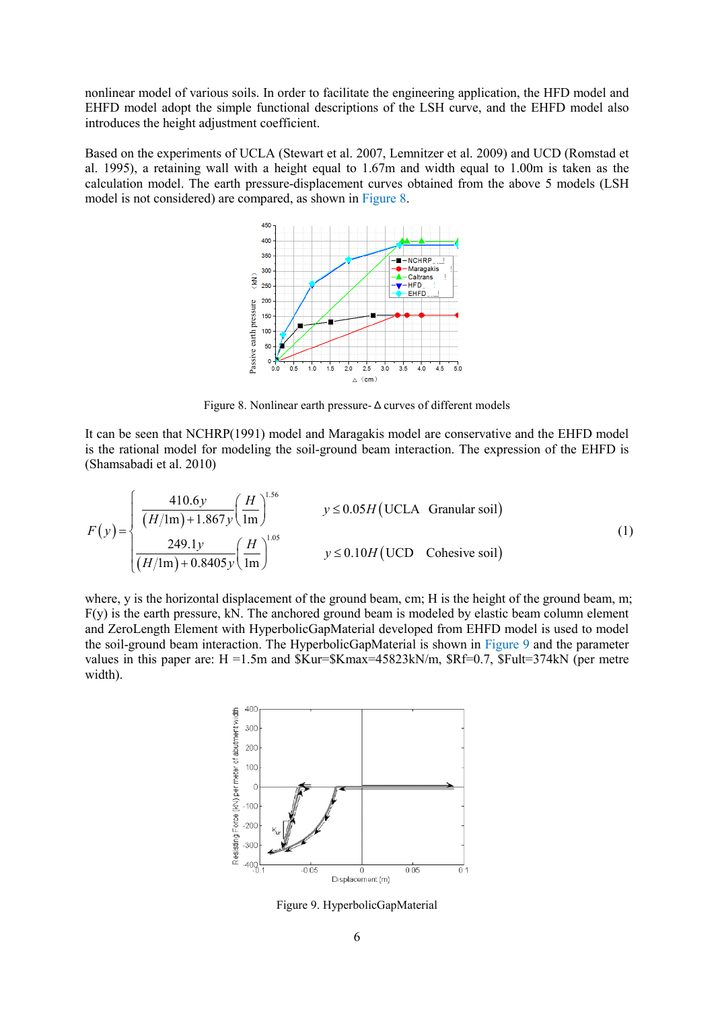nonlinear model of various soils. In order to facilitate the engineering application, the HFD model and EHFD model adopt the simple functional descriptions of the LSH curve, and the EHFD model also introduces the height adjustment coefficient.

Based on the experiments of UCLA (Stewart et al. 2007, Lemnitzer et al. 2009) and UCD (Romstad et al. 1995), a retaining wall with a height equal to 1.67m and width equal to 1.00m is taken as the calculation model. The earth pressure-displacement curves obtained from the above 5 models (LSH model is not considered) are compared, as shown in Figure 8.



Figure 8. Nonlinear earth pressure-Δcurves of different models

It can be seen that NCHRP(1991) model and Maragakis model are conservative and the EHFD model is the rational model for modeling the soil-ground beam interaction. The expression of the EHFD is (Shamsabadi et al. 2010)

$$
F(y) = \begin{cases} \frac{410.6y}{(H/\text{lm}) + 1.867y} \left(\frac{H}{1\text{m}}\right)^{1.56} & y \le 0.05H \text{ (UCLA } \text{ Granular soil)}\\ \frac{249.1y}{(H/\text{lm}) + 0.8405y} \left(\frac{H}{1\text{m}}\right)^{1.05} & y \le 0.10H \text{ (UCD } \text{ Cohesive soil)} \end{cases}
$$
(1)

where, y is the horizontal displacement of the ground beam, cm; H is the height of the ground beam, m;  $F(y)$  is the earth pressure, kN. The anchored ground beam is modeled by elastic beam column element and ZeroLength Element with HyperbolicGapMaterial developed from EHFD model is used to model the soil-ground beam interaction. The HyperbolicGapMaterial is shown in Figure 9 and the parameter values in this paper are:  $H = 1.5m$  and  $Kur = Kmax = 45823kN/m$ ,  $Rf = 0.7$ ,  $Ful = 374kN$  (per metre width).



Figure 9. HyperbolicGapMaterial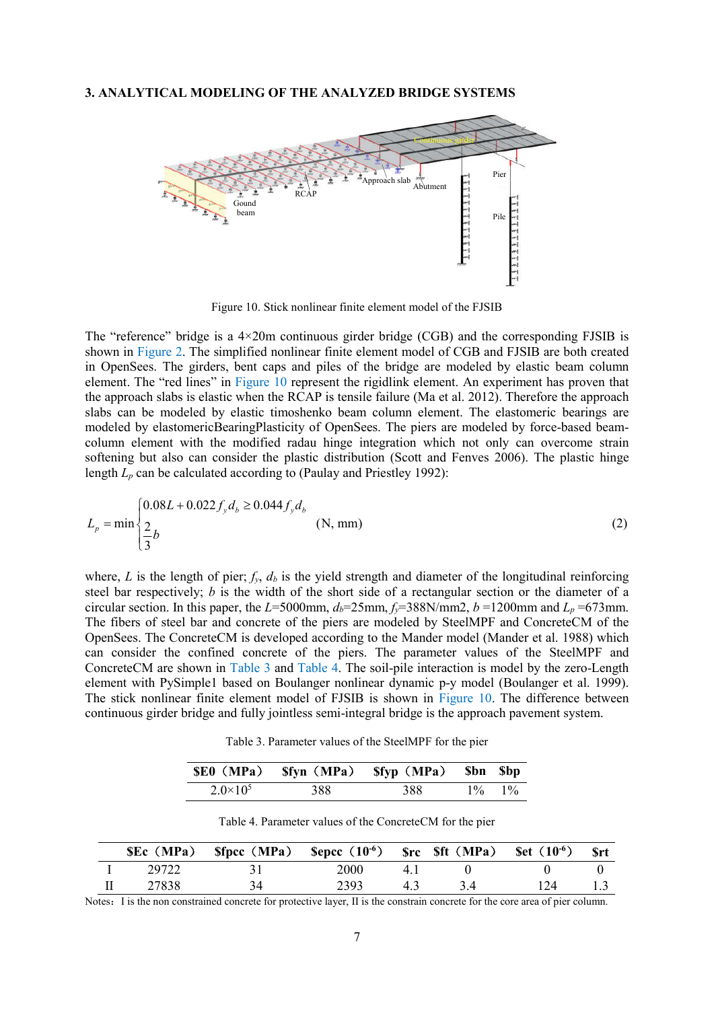#### **3. ANALYTICAL MODELING OF THE ANALYZED BRIDGE SYSTEMS**



Figure 10. Stick nonlinear finite element model of the FJSIB

The "reference" bridge is a  $4\times20$ m continuous girder bridge (CGB) and the corresponding FJSIB is shown in Figure 2. The simplified nonlinear finite element model of CGB and FJSIB are both created in OpenSees. The girders, bent caps and piles of the bridge are modeled by elastic beam column element. The "red lines" in Figure 10 represent the rigidlink element. An experiment has proven that the approach slabs is elastic when the RCAP is tensile failure (Ma et al. 2012). Therefore the approach slabs can be modeled by elastic timoshenko beam column element. The elastomeric bearings are modeled by elastomericBearingPlasticity of OpenSees. The piers are modeled by force-based beamcolumn element with the modified radau hinge integration which not only can overcome strain softening but also can consider the plastic distribution (Scott and Fenves 2006). The plastic hinge length  $L_p$  can be calculated according to (Paulay and Priestley 1992):

$$
L_p = \min \begin{cases} 0.08L + 0.022 f_y d_b \ge 0.044 f_y d_b \\ \frac{2}{3} b \end{cases}
$$
 (N, mm) (2)

where, *L* is the length of pier;  $f_y$ ,  $d_b$  is the yield strength and diameter of the longitudinal reinforcing steel bar respectively; *b* is the width of the short side of a rectangular section or the diameter of a circular section. In this paper, the  $L=5000$ mm,  $d_b=25$ mm,  $f_v=388$ N/mm2,  $b=1200$ mm and  $L_p=673$ mm. The fibers of steel bar and concrete of the piers are modeled by SteelMPF and ConcreteCM of the OpenSees. The ConcreteCM is developed according to the Mander model (Mander et al. 1988) which can consider the confined concrete of the piers. The parameter values of the SteelMPF and ConcreteCM are shown in Table 3 and Table 4. The soil-pile interaction is model by the zero-Length element with PySimple1 based on Boulanger nonlinear dynamic p-y model (Boulanger et al. 1999). The stick nonlinear finite element model of FJSIB is shown in Figure 10. The difference between continuous girder bridge and fully jointless semi-integral bridge is the approach pavement system.

Table 3. Parameter values of the SteelMPF for the pier

|                   |     | \$E0 (MPa) \$fyn (MPa) \$fyp (MPa) \$bn \$bp |             |
|-------------------|-----|----------------------------------------------|-------------|
| $2.0 \times 10^5$ | 388 | 388                                          | $1\% - 1\%$ |

|       | SEc (MPa) Sfpcc (MPa) Sepcc $(10^6)$ Src Sft (MPa) Set $(10^6)$ |      |    |     | - Srt |
|-------|-----------------------------------------------------------------|------|----|-----|-------|
| 29722 |                                                                 | 2000 |    |     |       |
| 27838 |                                                                 | 2393 | 43 | 124 |       |

Table 4. Parameter values of the ConcreteCM for the pier

Notes: I is the non constrained concrete for protective layer, II is the constrain concrete for the core area of pier column.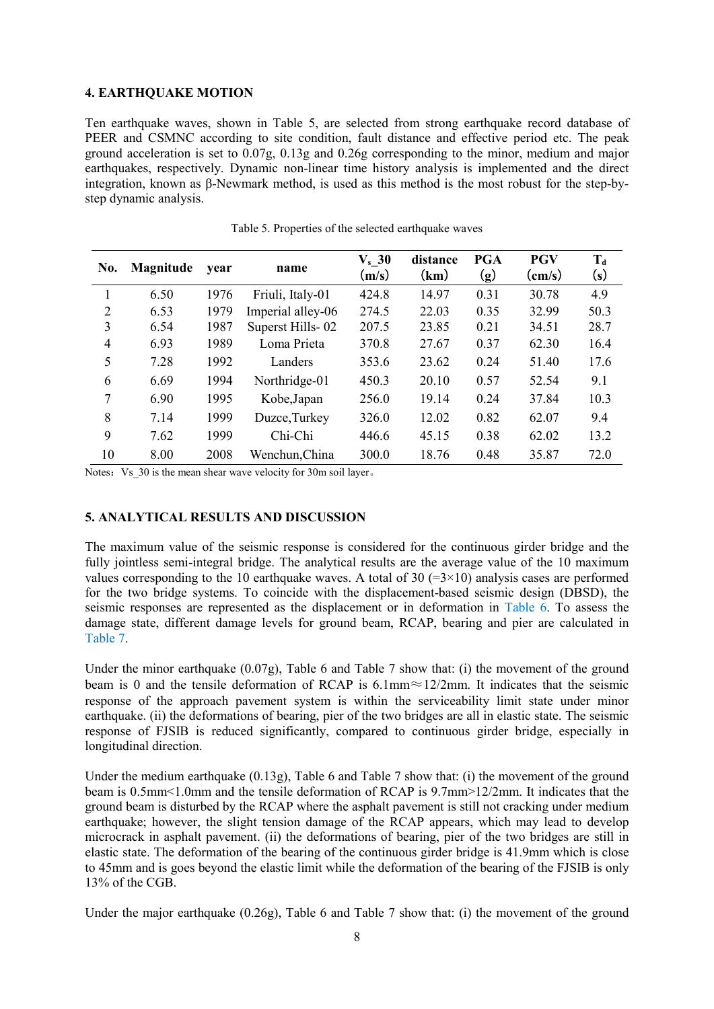## **4. EARTHQUAKE MOTION**

Ten earthquake waves, shown in Table 5, are selected from strong earthquake record database of PEER and CSMNC according to site condition, fault distance and effective period etc. The peak ground acceleration is set to 0.07g, 0.13g and 0.26g corresponding to the minor, medium and major earthquakes, respectively. Dynamic non-linear time history analysis is implemented and the direct integration, known as β-Newmark method, is used as this method is the most robust for the step-bystep dynamic analysis.

| No.            | Magnitude | vear | name              | $V_s$ 30<br>(m/s) | distance<br>(km) | <b>PGA</b><br>$\left( \mathbf{g}\right)$ | <b>PGV</b><br>$\text{(cm/s)}$ | $T_d$<br>(s) |
|----------------|-----------|------|-------------------|-------------------|------------------|------------------------------------------|-------------------------------|--------------|
| 1              | 6.50      | 1976 | Friuli, Italy-01  | 424.8             | 14.97            | 0.31                                     | 30.78                         | 4.9          |
| $\overline{2}$ | 6.53      | 1979 | Imperial alley-06 | 274.5             | 22.03            | 0.35                                     | 32.99                         | 50.3         |
| 3              | 6.54      | 1987 | Superst Hills-02  | 207.5             | 23.85            | 0.21                                     | 34.51                         | 28.7         |
| $\overline{4}$ | 6.93      | 1989 | Loma Prieta       | 370.8             | 27.67            | 0.37                                     | 62.30                         | 16.4         |
| 5              | 7.28      | 1992 | Landers           | 353.6             | 23.62            | 0.24                                     | 51.40                         | 17.6         |
| 6              | 6.69      | 1994 | Northridge-01     | 450.3             | 20.10            | 0.57                                     | 52.54                         | 9.1          |
| 7              | 6.90      | 1995 | Kobe, Japan       | 256.0             | 19.14            | 0.24                                     | 37.84                         | 10.3         |
| 8              | 7.14      | 1999 | Duzce, Turkey     | 326.0             | 12.02            | 0.82                                     | 62.07                         | 9.4          |
| 9              | 7.62      | 1999 | Chi-Chi           | 446.6             | 45.15            | 0.38                                     | 62.02                         | 13.2         |
| 10             | 8.00      | 2008 | Wenchun, China    | 300.0             | 18.76            | 0.48                                     | 35.87                         | 72.0         |

Table 5. Properties of the selected earthquake waves

Notes: Vs\_30 is the mean shear wave velocity for 30m soil layer.

## **5. ANALYTICAL RESULTS AND DISCUSSION**

The maximum value of the seismic response is considered for the continuous girder bridge and the fully jointless semi-integral bridge. The analytical results are the average value of the 10 maximum values corresponding to the 10 earthquake waves. A total of 30  $(=\frac{3}{10})$  analysis cases are performed for the two bridge systems. To coincide with the displacement-based seismic design (DBSD), the seismic responses are represented as the displacement or in deformation in Table 6. To assess the damage state, different damage levels for ground beam, RCAP, bearing and pier are calculated in Table 7.

Under the minor earthquake (0.07g), Table 6 and Table 7 show that: (i) the movement of the ground beam is 0 and the tensile deformation of RCAP is 6.1mm≈12/2mm. It indicates that the seismic response of the approach pavement system is within the serviceability limit state under minor earthquake. (ii) the deformations of bearing, pier of the two bridges are all in elastic state. The seismic response of FJSIB is reduced significantly, compared to continuous girder bridge, especially in longitudinal direction.

Under the medium earthquake (0.13g), Table 6 and Table 7 show that: (i) the movement of the ground beam is 0.5mm<1.0mm and the tensile deformation of RCAP is 9.7mm>12/2mm. It indicates that the ground beam is disturbed by the RCAP where the asphalt pavement is still not cracking under medium earthquake; however, the slight tension damage of the RCAP appears, which may lead to develop microcrack in asphalt pavement. (ii) the deformations of bearing, pier of the two bridges are still in elastic state. The deformation of the bearing of the continuous girder bridge is 41.9mm which is close to 45mm and is goes beyond the elastic limit while the deformation of the bearing of the FJSIB is only 13% of the CGB.

Under the major earthquake (0.26g), Table 6 and Table 7 show that: (i) the movement of the ground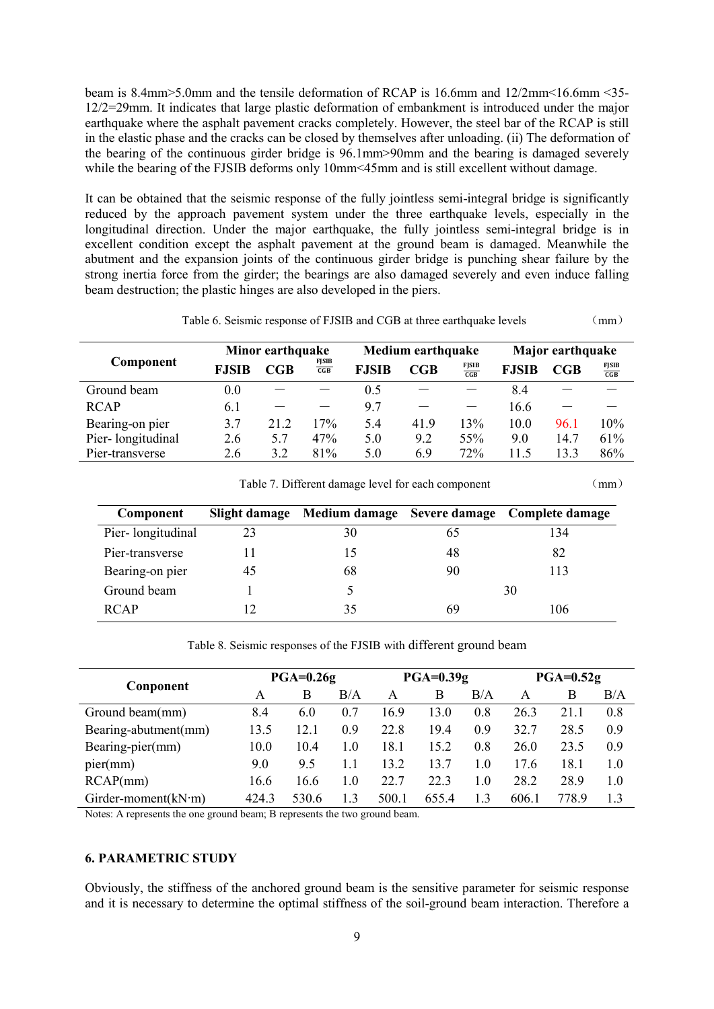beam is 8.4mm>5.0mm and the tensile deformation of RCAP is 16.6mm and 12/2mm<16.6mm <35- 12/2=29mm. It indicates that large plastic deformation of embankment is introduced under the major earthquake where the asphalt pavement cracks completely. However, the steel bar of the RCAP is still in the elastic phase and the cracks can be closed by themselves after unloading. (ii) The deformation of the bearing of the continuous girder bridge is 96.1mm>90mm and the bearing is damaged severely while the bearing of the FJSIB deforms only 10mm <45mm and is still excellent without damage.

It can be obtained that the seismic response of the fully jointless semi-integral bridge is significantly reduced by the approach pavement system under the three earthquake levels, especially in the longitudinal direction. Under the major earthquake, the fully jointless semi-integral bridge is in excellent condition except the asphalt pavement at the ground beam is damaged. Meanwhile the abutment and the expansion joints of the continuous girder bridge is punching shear failure by the strong inertia force from the girder; the bearings are also damaged severely and even induce falling beam destruction; the plastic hinges are also developed in the piers.

Table 6. Seismic response of FJSIB and CGB at three earthquake levels (mm)

|                   |              | Minor earthquake |                   | <b>Medium earthquake</b> |              |                   | Major earthquake |                |                   |  |
|-------------------|--------------|------------------|-------------------|--------------------------|--------------|-------------------|------------------|----------------|-------------------|--|
| Component         | <b>FJSIB</b> | CGB              | $rac{FJSIB}{CGB}$ | <b>FJSIB</b>             | $_{\rm CGB}$ | $rac{FJSIB}{CGB}$ | <b>FJSIB</b>     | CGB            | $rac{FJSIB}{CGB}$ |  |
| Ground beam       | 0.0          |                  |                   | 0.5                      |              |                   | 8.4              |                |                   |  |
| <b>RCAP</b>       | 6.1          |                  |                   | 9.7                      |              |                   | 16.6             |                |                   |  |
| Bearing-on pier   | 3.7          | 21 2             | 17%               | 5.4                      | 41.9         | 13%               | 10.0             | 96.1           | 10%               |  |
| Pier-longitudinal | 2.6          | 5.7              | 47%               | 5.0                      | 9.2          | 55%               | 9.0              | 14.7           | 61%               |  |
| Pier-transverse   | 2.6          | 32               | 81%               | 5.0                      | 6.9          | 72%               | 115              | 3 <sup>3</sup> | 86%               |  |

Table 7. Different damage level for each component (mm)

| Component         |    |    |    | Slight damage Medium damage Severe damage Complete damage |
|-------------------|----|----|----|-----------------------------------------------------------|
| Pier-longitudinal | 23 | 30 | 65 | 134                                                       |
| Pier-transverse   |    | 15 | 48 | 82                                                        |
| Bearing-on pier   | 45 | 68 | 90 | 113                                                       |
| Ground beam       |    |    |    | 30                                                        |
| <b>RCAP</b>       |    | 35 | 69 | 106                                                       |

Table 8. Seismic responses of the FJSIB with different ground beam

| Conponent                    |       | $PGA=0.26g$ | $PGA=0.39g$ |       |      |     | $PGA=0.52g$ |       |     |  |
|------------------------------|-------|-------------|-------------|-------|------|-----|-------------|-------|-----|--|
|                              | A     | B           | B/A         | A     | B    | B/A | A           | B     | B/A |  |
| Ground beam(mm)              | 8.4   | 6.0         | 0.7         | 16.9  | 13.0 | 0.8 | 26.3        | 21.1  | 0.8 |  |
| Bearing-abutment(mm)         | 13.5  | 12.1        | 0.9         | 22.8  | 19.4 | 0.9 | 32.7        | 28.5  | 0.9 |  |
| Bearing-pier(mm)             | 10.0  | 10.4        | 1.0         | 18.1  | 15.2 | 0.8 | 26.0        | 23.5  | 0.9 |  |
| pier(mm)                     | 9.0   | 9.5         | 1.1         | 13.2  | 13.7 | 1.0 | 176         | 18.1  | 1.0 |  |
| RCAP(mm)                     | 16.6  | 16.6        | 1.0         | 22.7  | 22.3 | 1.0 | 28.2        | 28.9  | 1.0 |  |
| Girder-moment $(kN \cdot m)$ | 424.3 | 530.6       | 13          | 500.1 | 6554 | 13  | 606.1       | 778.9 | 13  |  |

Notes: A represents the one ground beam; B represents the two ground beam.

# **6. PARAMETRIC STUDY**

Obviously, the stiffness of the anchored ground beam is the sensitive parameter for seismic response and it is necessary to determine the optimal stiffness of the soil-ground beam interaction. Therefore a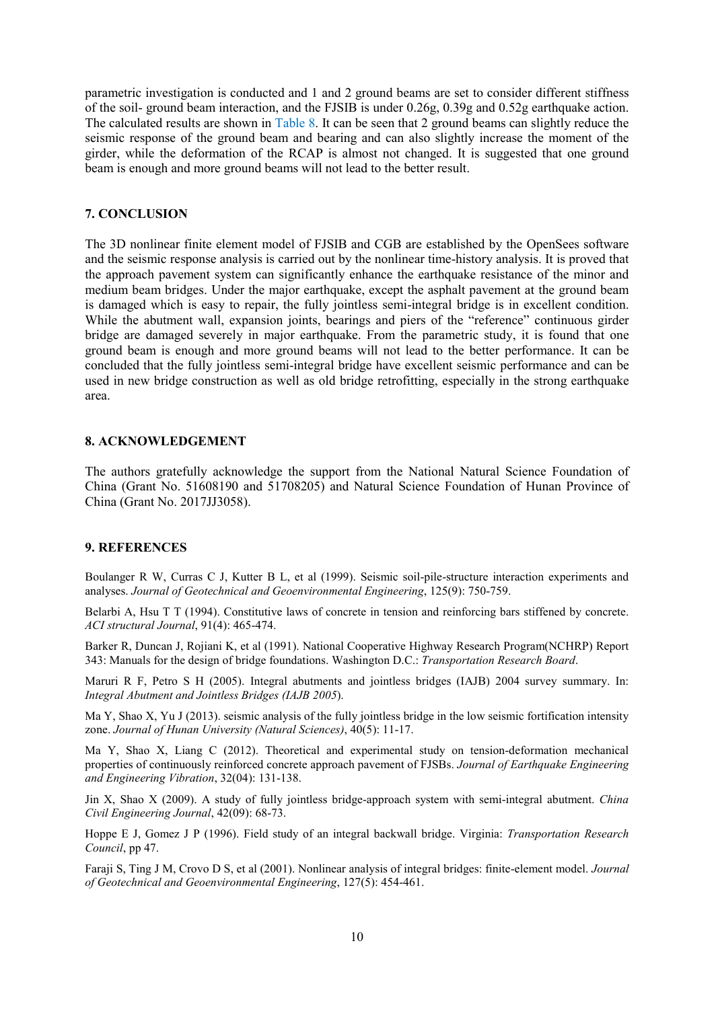parametric investigation is conducted and 1 and 2 ground beams are set to consider different stiffness of the soil- ground beam interaction, and the FJSIB is under 0.26g, 0.39g and 0.52g earthquake action. The calculated results are shown in Table 8. It can be seen that 2 ground beams can slightly reduce the seismic response of the ground beam and bearing and can also slightly increase the moment of the girder, while the deformation of the RCAP is almost not changed. It is suggested that one ground beam is enough and more ground beams will not lead to the better result.

## **7. CONCLUSION**

The 3D nonlinear finite element model of FJSIB and CGB are established by the OpenSees software and the seismic response analysis is carried out by the nonlinear time-history analysis. It is proved that the approach pavement system can significantly enhance the earthquake resistance of the minor and medium beam bridges. Under the major earthquake, except the asphalt pavement at the ground beam is damaged which is easy to repair, the fully jointless semi-integral bridge is in excellent condition. While the abutment wall, expansion joints, bearings and piers of the "reference" continuous girder bridge are damaged severely in major earthquake. From the parametric study, it is found that one ground beam is enough and more ground beams will not lead to the better performance. It can be concluded that the fully jointless semi-integral bridge have excellent seismic performance and can be used in new bridge construction as well as old bridge retrofitting, especially in the strong earthquake area.

## **8. ACKNOWLEDGEMENT**

The authors gratefully acknowledge the support from the National Natural Science Foundation of China (Grant No. 51608190 and 51708205) and Natural Science Foundation of Hunan Province of China (Grant No. 2017JJ3058).

#### **9. REFERENCES**

Boulanger R W, Curras C J, Kutter B L, et al (1999). Seismic soil-pile-structure interaction experiments and analyses. *Journal of Geotechnical and Geoenvironmental Engineering*, 125(9): 750-759.

Belarbi A, Hsu T T (1994). Constitutive laws of concrete in tension and reinforcing bars stiffened by concrete. *ACI structural Journal*, 91(4): 465-474.

Barker R, Duncan J, Rojiani K, et al (1991). National Cooperative Highway Research Program(NCHRP) Report 343: Manuals for the design of bridge foundations. Washington D.C.: *Transportation Research Board*.

Maruri R F, Petro S H (2005). Integral abutments and jointless bridges (IAJB) 2004 survey summary. In: *Integral Abutment and Jointless Bridges (IAJB 2005*).

Ma Y, Shao X, Yu J (2013). seismic analysis of the fully jointless bridge in the low seismic fortification intensity zone. *Journal of Hunan University (Natural Sciences)*, 40(5): 11-17.

Ma Y, Shao X, Liang C (2012). Theoretical and experimental study on tension-deformation mechanical properties of continuously reinforced concrete approach pavement of FJSBs. *Journal of Earthquake Engineering and Engineering Vibration*, 32(04): 131-138.

Jin X, Shao X (2009). A study of fully jointless bridge-approach system with semi-integral abutment. *China Civil Engineering Journal*, 42(09): 68-73.

Hoppe E J, Gomez J P (1996). Field study of an integral backwall bridge. Virginia: *Transportation Research Council*, pp 47.

Faraji S, Ting J M, Crovo D S, et al (2001). Nonlinear analysis of integral bridges: finite-element model. *Journal of Geotechnical and Geoenvironmental Engineering*, 127(5): 454-461.